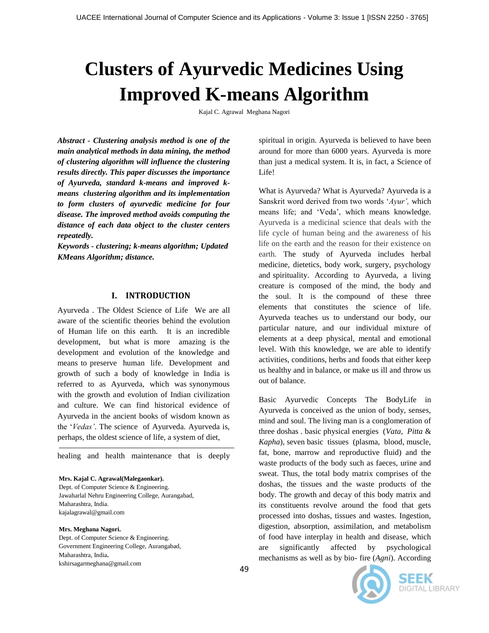# **Clusters of Ayurvedic Medicines Using Improved K-means Algorithm**

Kajal C. Agrawal Meghana Nagori

*Abstract - Clustering analysis method is one of the main analytical methods in data mining, the method of clustering algorithm will influence the clustering results directly. This paper discusses the importance of Ayurveda, standard k-means and improved kmeans clustering algorithm and its implementation to form clusters of ayurvedic medicine for four disease. The improved method avoids computing the distance of each data object to the cluster centers repeatedly.*

*Keywords - clustering; k-means algorithm; Updated KMeans Algorithm; distance.*

#### **I. INTRODUCTION**

Ayurveda . The Oldest Science of Life We are all aware of the scientific theories behind the evolution of Human life on this earth. It is an incredible development, but what is more amazing is the development and evolution of the knowledge and means to preserve human life. Development and growth of such a body of knowledge in India is referred to as Ayurveda, which was synonymous with the growth and evolution of Indian civilization and culture. We can find historical evidence of Ayurveda in the ancient books of wisdom known as the "*Vedas'*. The science of Ayurveda. Ayurveda is, perhaps, the oldest science of life, a system of diet,

healing and health maintenance that is deeply

#### **Mrs. Kajal C. Agrawal(Malegaonkar).**

Dept. of Computer Science & Engineering. Jawaharlal Nehru Engineering College, Aurangabad, Maharashtra, India. kajalagrawal@gmail.com

#### **Mrs. Meghana Nagori.**

Dept. of Computer Science & Engineering. Government Engineering College, Aurangabad, Maharashtra, India**.** kshirsagarmeghana@gmail.com

spiritual in origin. Ayurveda is believed to have been around for more than 6000 years. Ayurveda is more than just a medical system. It is, in fact, a Science of Life!

What is Ayurveda? What is Ayurveda? Ayurveda is a Sanskrit word derived from two words "*Ayur',* which means life; and "Veda", which means knowledge. Ayurveda is a medicinal science that deals with the life cycle of human being and the awareness of his life on the earth and the reason for their existence on earth. The study of Ayurveda includes herbal medicine, dietetics, body work, surgery, psychology and spirituality. According to Ayurveda, a living creature is composed of the mind, the body and the soul. It is the compound of these three elements that constitutes the science of life. Ayurveda teaches us to understand our body, our particular nature, and our individual mixture of elements at a deep physical, mental and emotional level. With this knowledge, we are able to identify activities, conditions, herbs and foods that either keep us healthy and in balance, or make us ill and throw us out of balance.

Basic Ayurvedic Concepts The BodyLife in Ayurveda is conceived as the union of body, senses, mind and soul. The living man is a conglomeration of three doshas . basic physical energies (*Vata, Pitta* & *Kapha*), seven basic tissues (plasma, blood, muscle, fat, bone, marrow and reproductive fluid) and the waste products of the body such as faeces, urine and sweat. Thus, the total body matrix comprises of the doshas, the tissues and the waste products of the body. The growth and decay of this body matrix and its constituents revolve around the food that gets processed into doshas, tissues and wastes. Ingestion, digestion, absorption, assimilation, and metabolism of food have interplay in health and disease, which are significantly affected by psychological mechanisms as well as by bio- fire (*Agni*). According



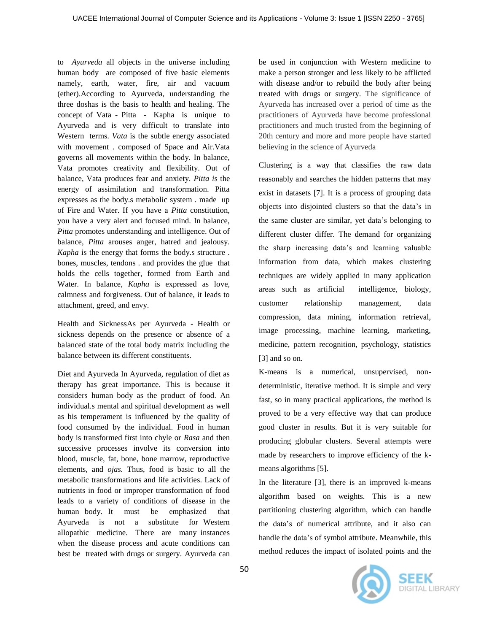to *Ayurveda* all objects in the universe including human body are composed of five basic elements namely, earth, water, fire, air and vacuum (ether).According to Ayurveda, understanding the three doshas is the basis to health and healing. The concept of Vata - Pitta - Kapha is unique to Ayurveda and is very difficult to translate into Western terms. *Vata* is the subtle energy associated with movement . composed of Space and Air.Vata governs all movements within the body. In balance, Vata promotes creativity and flexibility. Out of balance, Vata produces fear and anxiety. *Pitta i*s the energy of assimilation and transformation. Pitta expresses as the body.s metabolic system . made up of Fire and Water. If you have a *Pitta* constitution, you have a very alert and focused mind. In balance, *Pitta* promotes understanding and intelligence. Out of balance, *Pitta* arouses anger, hatred and jealousy. *Kapha* is the energy that forms the body.s structure . bones, muscles, tendons . and provides the glue that holds the cells together, formed from Earth and Water*.* In balance, *Kapha* is expressed as love, calmness and forgiveness. Out of balance, it leads to attachment, greed, and envy.

Health and SicknessAs per Ayurveda - Health or sickness depends on the presence or absence of a balanced state of the total body matrix including the balance between its different constituents.

Diet and Ayurveda In Ayurveda, regulation of diet as therapy has great importance. This is because it considers human body as the product of food. An individual.s mental and spiritual development as well as his temperament is influenced by the quality of food consumed by the individual. Food in human body is transformed first into chyle or *Rasa* and then successive processes involve its conversion into blood, muscle, fat, bone, bone marrow, reproductive elements, and *ojas.* Thus, food is basic to all the metabolic transformations and life activities. Lack of nutrients in food or improper transformation of food leads to a variety of conditions of disease in the human body. It must be emphasized that Ayurveda is not a substitute for Western allopathic medicine. There are many instances when the disease process and acute conditions can best be treated with drugs or surgery. Ayurveda can be used in conjunction with Western medicine to make a person stronger and less likely to be afflicted with disease and/or to rebuild the body after being treated with drugs or surgery. The significance of Ayurveda has increased over a period of time as the practitioners of Ayurveda have become professional practitioners and much trusted from the beginning of 20th century and more and more people have started believing in the science of Ayurveda

Clustering is a way that classifies the raw data reasonably and searches the hidden patterns that may exist in datasets [7]. It is a process of grouping data objects into disjointed clusters so that the data"s in the same cluster are similar, yet data"s belonging to different cluster differ. The demand for organizing the sharp increasing data"s and learning valuable information from data, which makes clustering techniques are widely applied in many application areas such as artificial intelligence, biology, customer relationship management, data compression, data mining, information retrieval, image processing, machine learning, marketing, medicine, pattern recognition, psychology, statistics [3] and so on.

K-means is a numerical, unsupervised, nondeterministic, iterative method. It is simple and very fast, so in many practical applications, the method is proved to be a very effective way that can produce good cluster in results. But it is very suitable for producing globular clusters. Several attempts were made by researchers to improve efficiency of the kmeans algorithms [5].

In the literature [3], there is an improved k-means algorithm based on weights. This is a new partitioning clustering algorithm, which can handle the data"s of numerical attribute, and it also can handle the data"s of symbol attribute. Meanwhile, this method reduces the impact of isolated points and the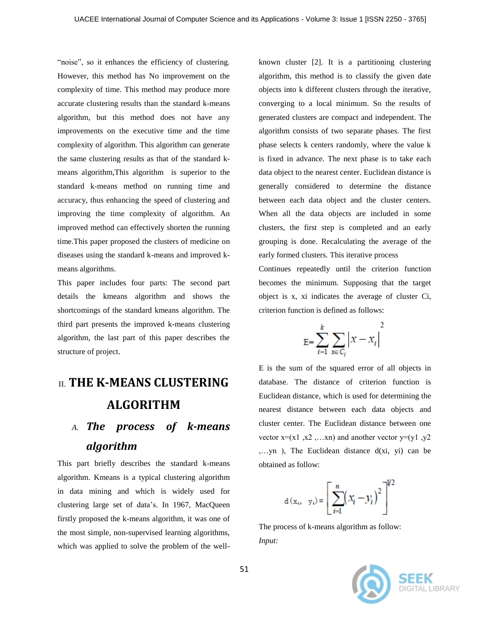"noise", so it enhances the efficiency of clustering. However, this method has No improvement on the complexity of time. This method may produce more accurate clustering results than the standard k-means algorithm, but this method does not have any improvements on the executive time and the time complexity of algorithm. This algorithm can generate the same clustering results as that of the standard kmeans algorithm,This algorithm is superior to the standard k-means method on running time and accuracy, thus enhancing the speed of clustering and improving the time complexity of algorithm. An improved method can effectively shorten the running time.This paper proposed the clusters of medicine on diseases using the standard k-means and improved kmeans algorithms.

This paper includes four parts: The second part details the kmeans algorithm and shows the shortcomings of the standard kmeans algorithm. The third part presents the improved k-means clustering algorithm, the last part of this paper describes the structure of project.

## II. **THE K-MEANS CLUSTERING ALGORITHM**

## *A. The process of k-means algorithm*

This part briefly describes the standard k-means algorithm. Kmeans is a typical clustering algorithm in data mining and which is widely used for clustering large set of data"s. In 1967, MacQueen firstly proposed the k-means algorithm, it was one of the most simple, non-supervised learning algorithms, which was applied to solve the problem of the wellknown cluster [2]. It is a partitioning clustering algorithm, this method is to classify the given date objects into k different clusters through the iterative, converging to a local minimum. So the results of generated clusters are compact and independent. The algorithm consists of two separate phases. The first phase selects k centers randomly, where the value k is fixed in advance. The next phase is to take each data object to the nearest center. Euclidean distance is generally considered to determine the distance between each data object and the cluster centers. When all the data objects are included in some clusters, the first step is completed and an early grouping is done. Recalculating the average of the early formed clusters. This iterative process

Continues repeatedly until the criterion function becomes the minimum. Supposing that the target object is x, xi indicates the average of cluster Ci, criterion function is defined as follows:

$$
E = \sum_{i=1}^{k} \sum_{x \in C_i} \left| x - x_i \right|^2
$$

E is the sum of the squared error of all objects in database. The distance of criterion function is Euclidean distance, which is used for determining the nearest distance between each data objects and cluster center. The Euclidean distance between one vector  $x=(x1, x2, \ldots xn)$  and another vector  $y=(y1, y2)$ ,…yn ), The Euclidean distance d(xi, yi) can be obtained as follow:

$$
d(x_i, y_i) = \left[\sum_{i=1}^{n} (x_i - y_i)^2\right]^{1/2}
$$

The process of k-means algorithm as follow: *Input:*

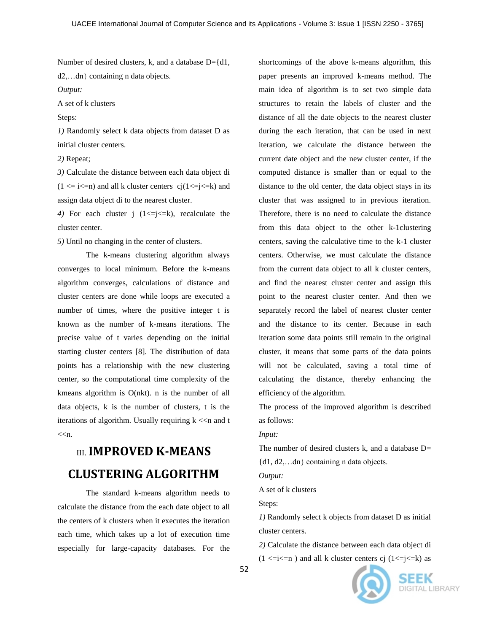Number of desired clusters, k, and a database  $D = \{d1, d2, \ldots, d9\}$ d2,…dn} containing n data objects.

*Output:*

A set of k clusters

Steps:

*1)* Randomly select k data objects from dataset D as initial cluster centers.

*2)* Repeat;

*3)* Calculate the distance between each data object di  $(1 \le i \le n)$  and all k cluster centers  $cj(1 \le i \le k)$  and assign data object di to the nearest cluster.

*4)* For each cluster j  $(1 \le j \le k)$ , recalculate the cluster center*.*

*5)* Until no changing in the center of clusters.

The k-means clustering algorithm always converges to local minimum. Before the k-means algorithm converges, calculations of distance and cluster centers are done while loops are executed a number of times, where the positive integer t is known as the number of k-means iterations. The precise value of t varies depending on the initial starting cluster centers [8]. The distribution of data points has a relationship with the new clustering center, so the computational time complexity of the kmeans algorithm is O(nkt). n is the number of all data objects, k is the number of clusters, t is the iterations of algorithm. Usually requiring  $k \ll n$  and t  $<.$ 

## III. **IMPROVED K-MEANS CLUSTERING ALGORITHM**

The standard k-means algorithm needs to calculate the distance from the each date object to all the centers of k clusters when it executes the iteration each time, which takes up a lot of execution time especially for large-capacity databases. For the

shortcomings of the above k-means algorithm, this paper presents an improved k-means method. The main idea of algorithm is to set two simple data structures to retain the labels of cluster and the distance of all the date objects to the nearest cluster during the each iteration, that can be used in next iteration, we calculate the distance between the current date object and the new cluster center, if the computed distance is smaller than or equal to the distance to the old center, the data object stays in its cluster that was assigned to in previous iteration. Therefore, there is no need to calculate the distance from this data object to the other k-1clustering centers, saving the calculative time to the k-1 cluster centers. Otherwise, we must calculate the distance from the current data object to all k cluster centers, and find the nearest cluster center and assign this point to the nearest cluster center. And then we separately record the label of nearest cluster center and the distance to its center. Because in each iteration some data points still remain in the original cluster, it means that some parts of the data points will not be calculated, saving a total time of calculating the distance, thereby enhancing the efficiency of the algorithm.

The process of the improved algorithm is described as follows:

*Input:*

The number of desired clusters  $k$ , and a database  $D=$ {d1, d2,…dn} containing n data objects.

*Output:*

A set of k clusters

Steps:

*1)* Randomly select k objects from dataset D as initial cluster centers.

*2)* Calculate the distance between each data object di

 $(1 \le i \le n)$  and all k cluster centers cj  $(1 \le i \le k)$  as

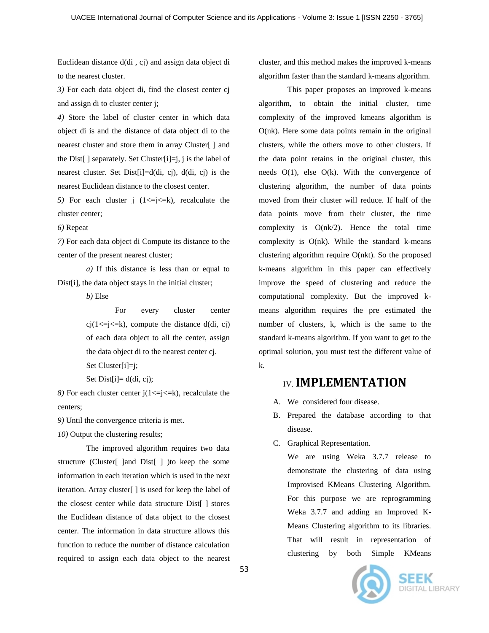Euclidean distance d(di , cj) and assign data object di to the nearest cluster.

*3)* For each data object di, find the closest center cj and assign di to cluster center j;

*4)* Store the label of cluster center in which data object di is and the distance of data object di to the nearest cluster and store them in array Cluster[ ] and the Dist[] separately. Set Cluster[i]=j, j is the label of nearest cluster. Set  $Dist[i]=d(di, cj), d(di, cj)$  is the nearest Euclidean distance to the closest center.

*5)* For each cluster  $j(1\leq i \leq k)$ , recalculate the cluster center;

*6)* Repeat

*7)* For each data object di Compute its distance to the center of the present nearest cluster;

*a)* If this distance is less than or equal to Dist[i], the data object stays in the initial cluster;

*b)* Else

For every cluster center  $cj(1 \leq j \leq k)$ , compute the distance  $d(di, cj)$ of each data object to all the center, assign the data object di to the nearest center cj. Set Cluster[i]=j;

Set Dist[i]=  $d(di, cj)$ ;

*8)* For each cluster center  $j(1 \le j \le k)$ , recalculate the centers;

*9)* Until the convergence criteria is met.

*10)* Output the clustering results;

The improved algorithm requires two data structure (Cluster[ ]and Dist[ ] )to keep the some information in each iteration which is used in the next iteration. Array cluster[ ] is used for keep the label of the closest center while data structure Dist[ ] stores the Euclidean distance of data object to the closest center. The information in data structure allows this function to reduce the number of distance calculation required to assign each data object to the nearest

cluster, and this method makes the improved k-means algorithm faster than the standard k-means algorithm.

This paper proposes an improved k-means algorithm, to obtain the initial cluster, time complexity of the improved kmeans algorithm is O(nk). Here some data points remain in the original clusters, while the others move to other clusters. If the data point retains in the original cluster, this needs  $O(1)$ , else  $O(k)$ . With the convergence of clustering algorithm, the number of data points moved from their cluster will reduce. If half of the data points move from their cluster, the time complexity is  $O(nk/2)$ . Hence the total time complexity is O(nk). While the standard k-means clustering algorithm require O(nkt). So the proposed k-means algorithm in this paper can effectively improve the speed of clustering and reduce the computational complexity. But the improved kmeans algorithm requires the pre estimated the number of clusters, k, which is the same to the standard k-means algorithm. If you want to get to the optimal solution, you must test the different value of k.

## IV. **IMPLEMENTATION**

- A. We considered four disease.
- B. Prepared the database according to that disease.
- C. Graphical Representation.

We are using Weka 3.7.7 release to demonstrate the clustering of data using Improvised KMeans Clustering Algorithm. For this purpose we are reprogramming Weka 3.7.7 and adding an Improved K-Means Clustering algorithm to its libraries. That will result in representation of clustering by both Simple KMeans



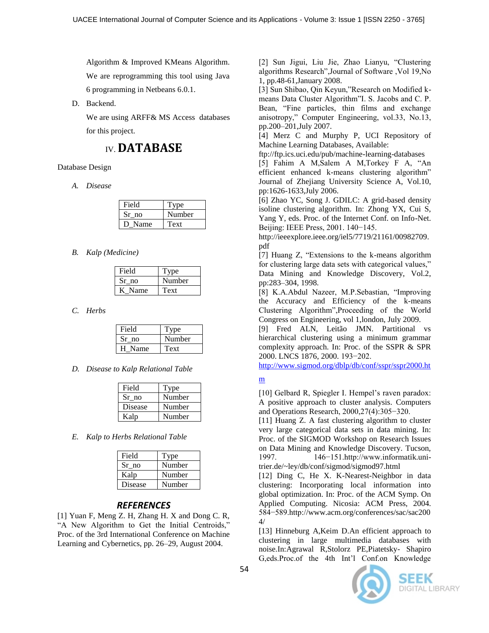Algorithm & Improved KMeans Algorithm. We are reprogramming this tool using Java 6 programming in Netbeans 6.0.1.

D. Backend.

We are using ARFF& MS Access databases for this project.

## IV. **DATABASE**

### Database Design

*A. Disease*

| Field | l'vpe  |
|-------|--------|
| Sr no | Number |
| Name  | Text   |

### *B. Kalp (Medicine)*

| Field | vne    |
|-------|--------|
| Sr no | Number |
| Vame  | Text   |

*C. Herbs*

| Field  | vne    |
|--------|--------|
| Sr no  | Number |
| H Name | Text   |

*D. Disease to Kalp Relational Table*

| Field   | Type   |
|---------|--------|
| Sr no   | Number |
| Disease | Number |
| Kalp    | Number |

*E. Kalp to Herbs Relational Table*

| Field   | Type   |
|---------|--------|
| Sr no   | Number |
| Kalp    | Number |
| Disease | Number |

## *REFERENCES*

[1] Yuan F, Meng Z. H, Zhang H. X and Dong C. R, "A New Algorithm to Get the Initial Centroids," Proc. of the 3rd International Conference on Machine Learning and Cybernetics, pp. 26–29, August 2004.

[2] Sun Jigui, Liu Jie, Zhao Lianyu, "Clustering algorithms Research",Journal of Software ,Vol 19,No 1, pp.48-61,January 2008.

[3] Sun Shibao, Qin Keyun,"Research on Modified kmeans Data Cluster Algorithm"I. S. Jacobs and C. P. Bean, "Fine particles, thin films and exchange anisotropy," Computer Engineering, vol.33, No.13, pp.200–201,July 2007.

[4] Merz C and Murphy P, UCI Repository of Machine Learning Databases, Available:

ftp://ftp.ics.uci.edu/pub/machine-learning-databases

[5] Fahim A M,Salem A M,Torkey F A, "An efficient enhanced k-means clustering algorithm" Journal of Zhejiang University Science A, Vol.10, pp:1626-1633,July 2006.

[6] Zhao YC, Song J. GDILC: A grid-based density isoline clustering algorithm. In: Zhong YX, Cui S, Yang Y, eds. Proc. of the Internet Conf. on Info-Net. Beijing: IEEE Press, 2001. 140−145.

http://ieeexplore.ieee.org/iel5/7719/21161/00982709. pdf

[7] Huang Z, "Extensions to the k-means algorithm for clustering large data sets with categorical values," Data Mining and Knowledge Discovery, Vol.2, pp:283–304, 1998.

[8] K.A.Abdul Nazeer, M.P.Sebastian, "Improving the Accuracy and Efficiency of the k-means Clustering Algorithm",Proceeding of the World Congress on Engineering, vol 1,london, July 2009.

[9] Fred ALN, Leitão JMN. Partitional vs hierarchical clustering using a minimum grammar complexity approach. In: Proc. of the SSPR & SPR 2000. LNCS 1876, 2000. 193−202.

[http://www.sigmod.org/dblp/db/conf/sspr/sspr2000.ht](http://www.sigmod.org/dblp/db/conf/sspr/sspr2000.htm)

### [m](http://www.sigmod.org/dblp/db/conf/sspr/sspr2000.htm)

[10] Gelbard R, Spiegler I. Hempel's raven paradox: A positive approach to cluster analysis. Computers and Operations Research, 2000,27(4):305−320.

[11] Huang Z. A fast clustering algorithm to cluster very large categorical data sets in data mining. In: Proc. of the SIGMOD Workshop on Research Issues on Data Mining and Knowledge Discovery. Tucson, 1997. 146−151.http://www.informatik.unitrier.de/~ley/db/conf/sigmod/sigmod97.html

[12] Ding C, He X. K-Nearest-Neighbor in data clustering: Incorporating local information into global optimization. In: Proc. of the ACM Symp. On Applied Computing. Nicosia: ACM Press, 2004. 584−589.http://www.acm.org/conferences/sac/sac200 4/

[13] Hinneburg A,Keim D.An efficient approach to clustering in large multimedia databases with noise.In:Agrawal R,Stolorz PE,Piatetsky- Shapiro G,eds.Proc.of the 4th Int"l Conf.on Knowledge